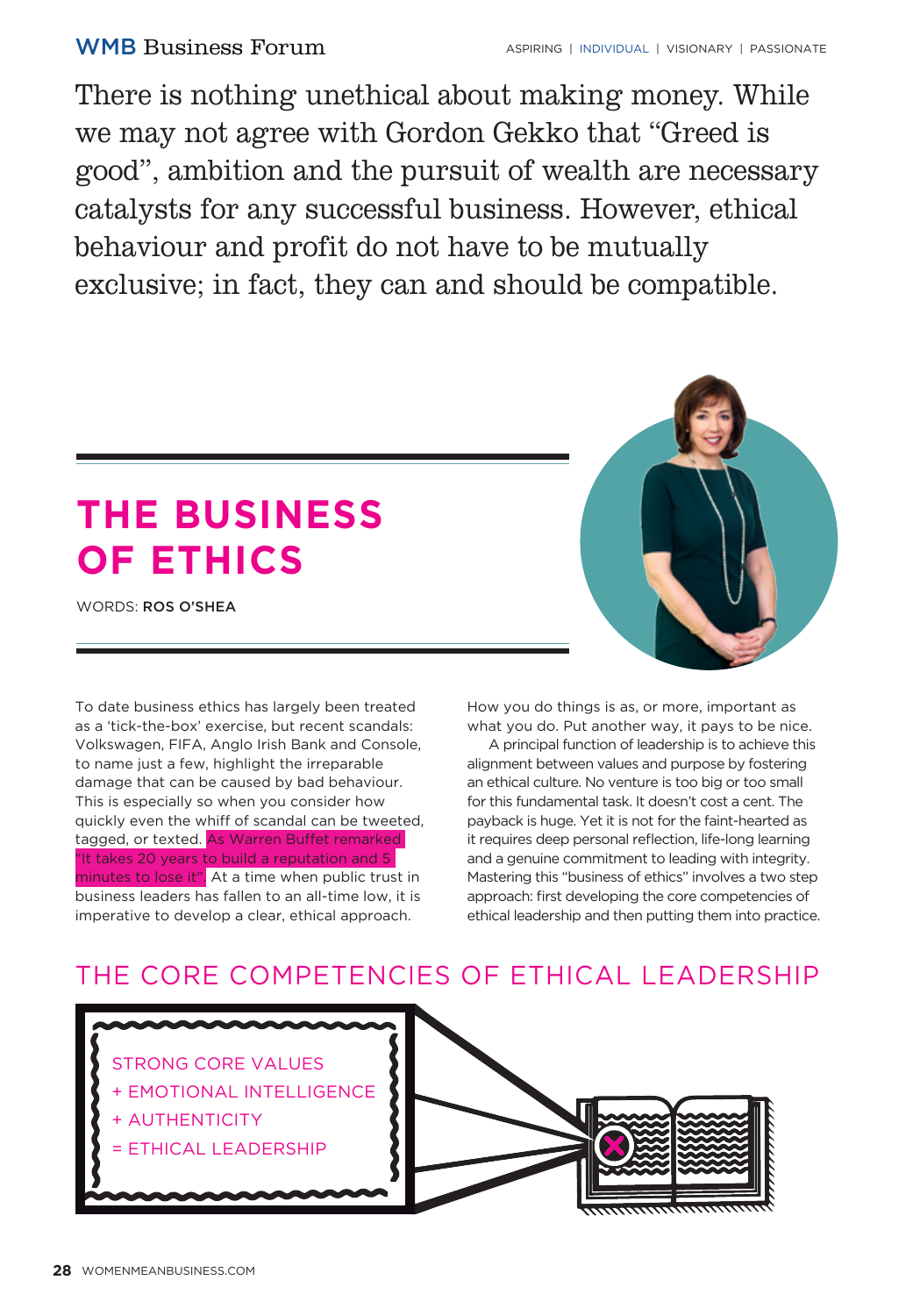There is nothing unethical about making money. While we may not agree with Gordon Gekko that "Greed is good", ambition and the pursuit of wealth are necessary catalysts for any successful business. However, ethical behaviour and profit do not have to be mutually exclusive; in fact, they can and should be compatible.

# **THE BUSINESS OF ETHICS**

WORDS: ROS O'SHEA

To date business ethics has largely been treated as a 'tick-the-box' exercise, but recent scandals: Volkswagen, FIFA, Anglo Irish Bank and Console, to name just a few, highlight the irreparable damage that can be caused by bad behaviour. This is especially so when you consider how quickly even the whiff of scandal can be tweeted, tagged, or texted. As Warren Buffet remarked "It takes 20 years to build a reputation and 5 minutes to lose it". At a time when public trust in business leaders has fallen to an all-time low, it is imperative to develop a clear, ethical approach.



How you do things is as, or more, important as what you do. Put another way, it pays to be nice.

A principal function of leadership is to achieve this alignment between values and purpose by fostering an ethical culture. No venture is too big or too small for this fundamental task. It doesn't cost a cent. The payback is huge. Yet it is not for the faint-hearted as it requires deep personal reflection, life-long learning and a genuine commitment to leading with integrity. Mastering this "business of ethics" involves a two step approach: first developing the core competencies of ethical leadership and then putting them into practice.

## THE CORE COMPETENCIES OF ETHICAL LEADERSHIP

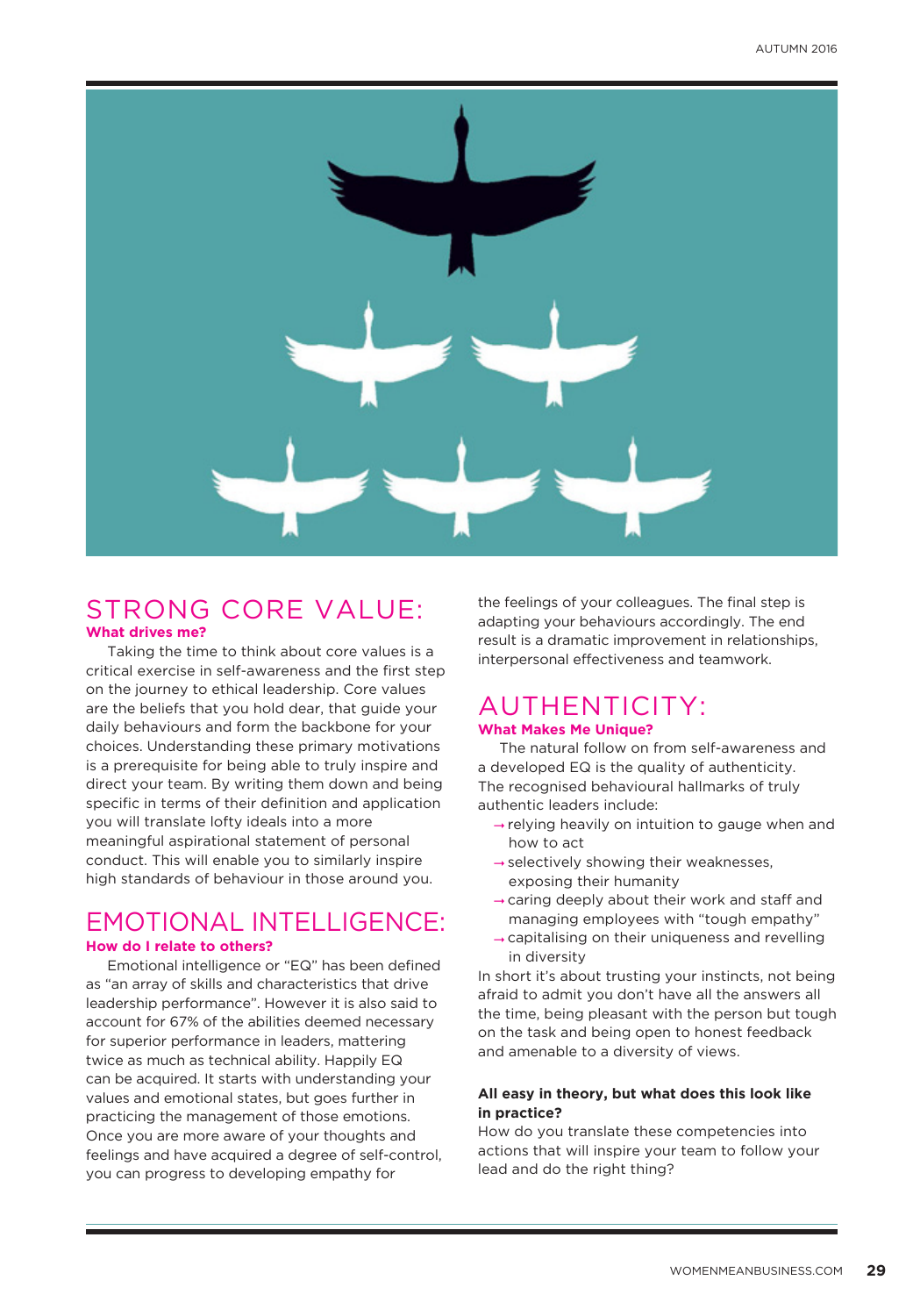

## STRONG CORE VALUE: **What drives me?**

Taking the time to think about core values is a critical exercise in self-awareness and the first step on the journey to ethical leadership. Core values are the beliefs that you hold dear, that guide your daily behaviours and form the backbone for your choices. Understanding these primary motivations is a prerequisite for being able to truly inspire and direct your team. By writing them down and being specific in terms of their definition and application you will translate lofty ideals into a more meaningful aspirational statement of personal conduct. This will enable you to similarly inspire high standards of behaviour in those around you.

## EMOTIONAL INTELLIGENCE: **How do I relate to others?**

Emotional intelligence or "EQ" has been defined as "an array of skills and characteristics that drive leadership performance". However it is also said to account for 67% of the abilities deemed necessary for superior performance in leaders, mattering twice as much as technical ability. Happily EQ can be acquired. It starts with understanding your values and emotional states, but goes further in practicing the management of those emotions. Once you are more aware of your thoughts and feelings and have acquired a degree of self-control, you can progress to developing empathy for

the feelings of your colleagues. The final step is adapting your behaviours accordingly. The end result is a dramatic improvement in relationships, interpersonal effectiveness and teamwork.

## AUTHENTICITY: **What Makes Me Unique?**

The natural follow on from self-awareness and a developed EQ is the quality of authenticity. The recognised behavioural hallmarks of truly authentic leaders include:

- $\rightarrow$  relying heavily on intuition to gauge when and how to act
- $\rightarrow$  selectively showing their weaknesses, exposing their humanity
- $\rightarrow$  caring deeply about their work and staff and managing employees with "tough empathy"
- capitalising on their uniqueness and revelling in diversity

In short it's about trusting your instincts, not being afraid to admit you don't have all the answers all the time, being pleasant with the person but tough on the task and being open to honest feedback and amenable to a diversity of views.

#### **All easy in theory, but what does this look like in practice?**

How do you translate these competencies into actions that will inspire your team to follow your lead and do the right thing?